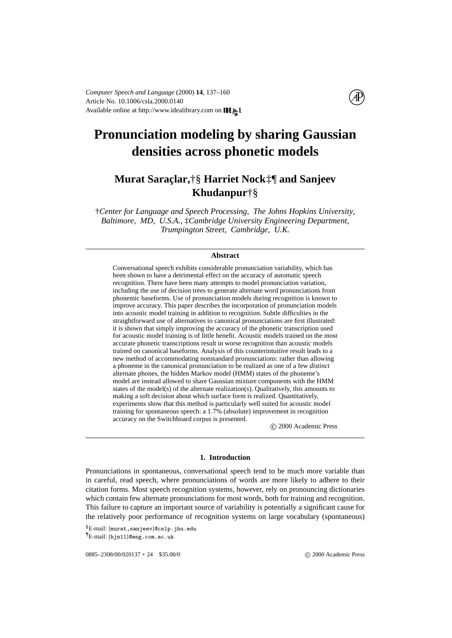Article No. 10.1006/csla.2000.0140 Available online at http://www.idealibrary.com on IDI *Computer Speech and Language* (2000) **14**, 137–160



# **Pronunciation modeling by sharing Gaussian densities across phonetic models**

## **Murat Saraclar,†§ Harriet Nock**<sup>†</sup>¶ and Sanjeev **Khudanpur**†§

†*Center for Language and Speech Processing, The Johns Hopkins University, Baltimore, MD, U.S.A.,* ‡*Cambridge University Engineering Department, Trumpington Street, Cambridge, U.K.*

## **Abstract**

Conversational speech exhibits considerable pronunciation variability, which has been shown to have a detrimental effect on the accuracy of automatic speech recognition. There have been many attempts to model pronunciation variation, including the use of decision trees to generate alternate word pronunciations from phonemic baseforms. Use of pronunciation models during recognition is known to improve accuracy. This paper describes the incorporation of pronunciation models into acoustic model training in addition to recognition. Subtle difficulties in the straightforward use of alternatives to canonical pronunciations are first illustrated: it is shown that simply improving the accuracy of the phonetic transcription used for acoustic model training is of little benefit. Acoustic models trained on the most accurate phonetic transcriptions result in worse recognition than acoustic models trained on canonical baseforms. Analysis of this counterintuitive result leads to a new method of accommodating nonstandard pronunciations: rather than allowing a phoneme in the canonical pronunciation to be realized as one of a few *distinct* alternate phones, the hidden Markov model (HMM) states of the phoneme's model are instead allowed to share Gaussian mixture components with the HMM states of the model(s) of the alternate realization(s). Qualitatively, this amounts to making a soft decision about which surface form is realized. Quantitatively, experiments show that this method is particularly well suited for acoustic model training for spontaneous speech: a 1.7% (absolute) improvement in recognition accuracy on the Switchboard corpus is presented.

c 2000 Academic Press

## **1. Introduction**

Pronunciations in spontaneous, conversational speech tend to be much more variable than in careful, read speech, where pronunciations of words are more likely to adhere to their citation forms. Most speech recognition systems, however, rely on pronouncing dictionaries which contain few alternate pronunciations for most words, both for training and recognition. This failure to capture an important source of variability is potentially a significant cause for the relatively poor performance of recognition systems on large vocabulary (spontaneous)

§E-mail: {murat,sanjeev}@cslp.jhu.edu ¶E-mail: {hjn11}@eng.com.ac.uk

0885–2308/00/020137 + 24 \$35.00/0 c 2000 Academic Press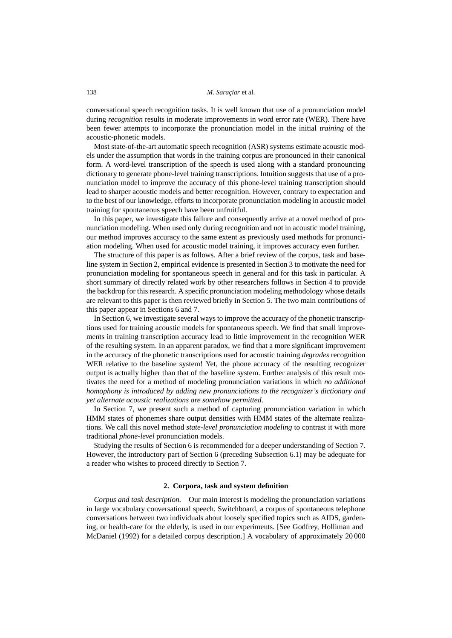conversational speech recognition tasks. It is well known that use of a pronunciation model during *recognition* results in moderate improvements in word error rate (WER). There have been fewer attempts to incorporate the pronunciation model in the initial *training* of the acoustic-phonetic models.

Most state-of-the-art automatic speech recognition (ASR) systems estimate acoustic models under the assumption that words in the training corpus are pronounced in their canonical form. A word-level transcription of the speech is used along with a standard pronouncing dictionary to generate phone-level training transcriptions. Intuition suggests that use of a pronunciation model to improve the accuracy of this phone-level training transcription should lead to sharper acoustic models and better recognition. However, contrary to expectation and to the best of our knowledge, efforts to incorporate pronunciation modeling in acoustic model training for spontaneous speech have been unfruitful.

In this paper, we investigate this failure and consequently arrive at a novel method of pronunciation modeling. When used only during recognition and not in acoustic model training, our method improves accuracy to the same extent as previously used methods for pronunciation modeling. When used for acoustic model training, it improves accuracy even further.

The structure of this paper is as follows. After a brief review of the corpus, task and baseline system in Section [2,](#page-1-0) empirical evidence is presented in Section [3](#page-2-0) to motivate the need for pronunciation modeling for spontaneous speech in general and for this task in particular. A short summary of directly related work by other researchers follows in Section [4](#page-5-0) to provide the backdrop for this research. A specific pronunciation modeling methodology whose details are relevant to this paper is then reviewed briefly in Section [5](#page-6-0). The two main contributions of this paper appear in Sections [6](#page-8-0) and [7](#page-13-0).

In Section [6](#page-8-0), we investigate several ways to improve the accuracy of the phonetic transcriptions used for training acoustic models for spontaneous speech. We find that small improvements in training transcription accuracy lead to little improvement in the recognition WER of the resulting system. In an apparent paradox, we find that a more significant improvement in the accuracy of the phonetic transcriptions used for acoustic training *degrades* recognition WER relative to the baseline system! Yet, the phone accuracy of the resulting recognizer output is actually higher than that of the baseline system. Further analysis of this result motivates the need for a method of modeling pronunciation variations in which *no additional homophony is introduced by adding new pronunciations to the recognizer's dictionary and yet alternate acoustic realizations are somehow permitted*.

In Section [7,](#page-13-0) we present such a method of capturing pronunciation variation in which HMM states of phonemes share output densities with HMM states of the alternate realizations. We call this novel method *state-level pronunciation modeling* to contrast it with more traditional *phone-level* pronunciation models.

Studying the results of Section [6](#page-8-0) is recommended for a deeper understanding of Section [7.](#page-13-0) However, the introductory part of Section [6](#page-8-0) (preceding Subsection [6.1](#page-10-0)) may be adequate for a reader who wishes to proceed directly to Section [7](#page-13-0).

## **2. Corpora, task and system definition**

<span id="page-1-0"></span>*Corpus and task description.* Our main interest is modeling the pronunciation variations in large vocabulary conversational speech. Switchboard, a corpus of spontaneous telephone conversations between two individuals about loosely specified topics such as AIDS, gardening, or health-care for the elderly, is used in our experiments. [See [Godfrey, Holliman and](#page-22-0) [McDaniel \(1992\)](#page-22-0) for a detailed corpus description.] A vocabulary of approximately 20 000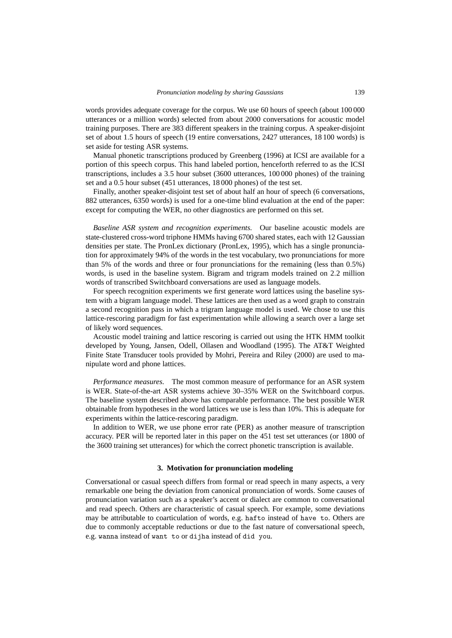words provides adequate coverage for the corpus. We use 60 hours of speech (about 100 000 utterances or a million words) selected from about 2000 conversations for acoustic model training purposes. There are 383 different speakers in the training corpus. A speaker-disjoint set of about 1.5 hours of speech (19 entire conversations, 2427 utterances, 18 100 words) is set aside for testing ASR systems.

Manual phonetic transcriptions produced by [Greenberg \(1996\)](#page-22-1) at ICSI are available for a portion of this speech corpus. This hand labeled portion, henceforth referred to as the ICSI transcriptions, includes a 3.5 hour subset (3600 utterances, 100 000 phones) of the training set and a 0.5 hour subset (451 utterances, 18 000 phones) of the test set.

Finally, another speaker-disjoint test set of about half an hour of speech (6 conversations, 882 utterances, 6350 words) is used for a one-time blind evaluation at the end of the paper: except for computing the WER, no other diagnostics are performed on this set.

*Baseline ASR system and recognition experiments.* Our baseline acoustic models are state-clustered cross-word triphone HMMs having 6700 shared states, each with 12 Gaussian densities per state. The PronLex dictionary ([PronLex, 1995](#page-23-0)), which has a single pronunciation for approximately 94% of the words in the test vocabulary, two pronunciations for more than 5% of the words and three or four pronunciations for the remaining (less than 0.5%) words, is used in the baseline system. Bigram and trigram models trained on 2.2 million words of transcribed Switchboard conversations are used as language models.

For speech recognition experiments we first generate word lattices using the baseline system with a bigram language model. These lattices are then used as a word graph to constrain a second recognition pass in which a trigram language model is used. We chose to use this lattice-rescoring paradigm for fast experimentation while allowing a search over a large set of likely word sequences.

Acoustic model training and lattice rescoring is carried out using the HTK HMM toolkit developed by [Young, Jansen, Odell, Ollasen and Woodland \(1995](#page-23-1)). The AT&T Weighted Finite State Transducer tools provided by [Mohri, Pereira and Riley \(2000\)](#page-22-2) are used to manipulate word and phone lattices.

*Performance measures.* The most common measure of performance for an ASR system is WER. State-of-the-art ASR systems achieve 30–35% WER on the Switchboard corpus. The baseline system described above has comparable performance. The best possible WER obtainable from hypotheses in the word lattices we use is less than 10%. This is adequate for experiments within the lattice-rescoring paradigm.

In addition to WER, we use phone error rate (PER) as another measure of transcription accuracy. PER will be reported later in this paper on the 451 test set utterances (or 1800 of the 3600 training set utterances) for which the correct phonetic transcription is available.

## **3. Motivation for pronunciation modeling**

<span id="page-2-0"></span>Conversational or casual speech differs from formal or read speech in many aspects, a very remarkable one being the deviation from canonical pronunciation of words. Some causes of pronunciation variation such as a speaker's accent or dialect are common to conversational and read speech. Others are characteristic of casual speech. For example, some deviations may be attributable to coarticulation of words, e.g. hafto instead of have to. Others are due to commonly acceptable reductions or due to the fast nature of conversational speech, e.g. wanna instead of want to or dijha instead of did you.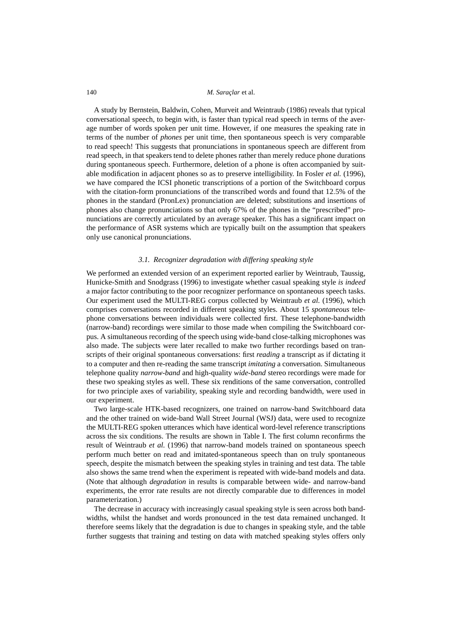A study by [Bernstein, Baldwin, Cohen, Murveit and Weintraub \(1986\)](#page-21-0) reveals that typical conversational speech, to begin with, is faster than typical read speech in terms of the average number of words spoken per unit time. However, if one measures the speaking rate in terms of the number of *phones* per unit time, then spontaneous speech is very comparable to read speech! This suggests that pronunciations in spontaneous speech are different from read speech, in that speakers tend to delete phones rather than merely reduce phone durations during spontaneous speech. Furthermore, deletion of a phone is often accompanied by suitable modification in adjacent phones so as to preserve intelligibility. In [Fosler](#page-22-3) *et al.* (1996), we have compared the ICSI phonetic transcriptions of a portion of the Switchboard corpus with the citation-form pronunciations of the transcribed words and found that 12.5% of the phones in the standard (PronLex) pronunciation are deleted; substitutions and insertions of phones also change pronunciations so that only 67% of the phones in the "prescribed" pronunciations are correctly articulated by an average speaker. This has a significant impact on the performance of ASR systems which are typically built on the assumption that speakers only use canonical pronunciations.

## *3.1. Recognizer degradation with differing speaking style*

We performed an extended version of an experiment reported earlier by [Weintraub, Taussig,](#page-23-2) [Hunicke-Smith and Snodgrass \(1996](#page-23-2)) to investigate whether casual speaking style *is indeed* a major factor contributing to the poor recognizer performance on spontaneous speech tasks. Our experiment used the MULTI-REG corpus collected by [Weintraub](#page-23-2) *et al.* (1996), which comprises conversations recorded in different speaking styles. About 15 *spontaneous* telephone conversations between individuals were collected first. These telephone-bandwidth (narrow-band) recordings were similar to those made when compiling the Switchboard corpus. A simultaneous recording of the speech using wide-band close-talking microphones was also made. The subjects were later recalled to make two further recordings based on transcripts of their original spontaneous conversations: first *reading* a transcript as if dictating it to a computer and then re-reading the same transcript *imitating* a conversation. Simultaneous telephone quality *narrow-band* and high-quality *wide-band* stereo recordings were made for these two speaking styles as well. These six renditions of the same conversation, controlled for two principle axes of variability, speaking style and recording bandwidth, were used in our experiment.

Two large-scale HTK-based recognizers, one trained on narrow-band Switchboard data and the other trained on wide-band Wall Street Journal (WSJ) data, were used to recognize the MULTI-REG spoken utterances which have identical word-level reference transcriptions across the six conditions. The results are shown in Table [I.](#page-4-0) The first column reconfirms the result of [Weintraub](#page-23-2) *et al.* (1996) that narrow-band models trained on spontaneous speech perform much better on read and imitated-spontaneous speech than on truly spontaneous speech, despite the mismatch between the speaking styles in training and test data. The table also shows the same trend when the experiment is repeated with wide-band models and data. (Note that although *degradation* in results is comparable between wide- and narrow-band experiments, the error rate results are not directly comparable due to differences in model parameterization.)

The decrease in accuracy with increasingly casual speaking style is seen across both bandwidths, whilst the handset and words pronounced in the test data remained unchanged. It therefore seems likely that the degradation is due to changes in speaking style, and the table further suggests that training and testing on data with matched speaking styles offers only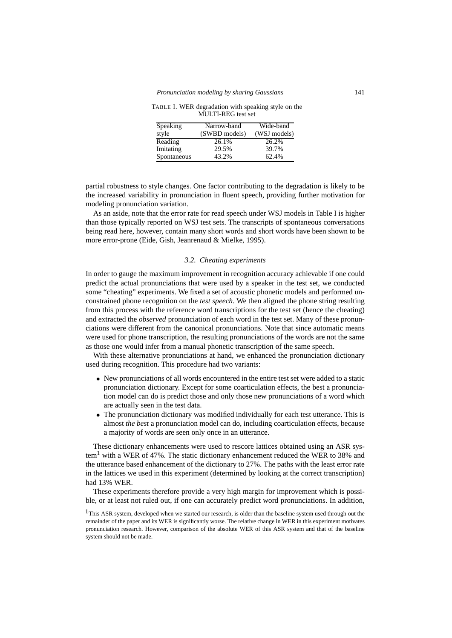|  | TABLE I. WER degradation with speaking style on the |  |  |  |
|--|-----------------------------------------------------|--|--|--|
|  | <b>MULTI-REG</b> test set                           |  |  |  |

<span id="page-4-0"></span>

| Speaking<br>style | Narrow-band<br>(SWBD models) | Wide-band<br>(WSJ models) |
|-------------------|------------------------------|---------------------------|
| Reading           | 26.1%                        | 26.2%                     |
| Imitating         | 29.5%                        | 39.7%                     |
| Spontaneous       | 43.2%                        | 62.4%                     |

partial robustness to style changes. One factor contributing to the degradation is likely to be the increased variability in pronunciation in fluent speech, providing further motivation for modeling pronunciation variation.

As an aside, note that the error rate for read speech under WSJ models in Table [I](#page-4-0) is higher than those typically reported on WSJ test sets. The transcripts of spontaneous conversations being read here, however, contain many short words and short words have been shown to be more error-prone ([Eide, Gish, Jeanrenaud & Mielke, 1995](#page-22-4)).

## *3.2. Cheating experiments*

In order to gauge the maximum improvement in recognition accuracy achievable if one could predict the actual pronunciations that were used by a speaker in the test set, we conducted some "cheating" experiments. We fixed a set of acoustic phonetic models and performed unconstrained phone recognition on the *test speech*. We then aligned the phone string resulting from this process with the reference word transcriptions for the test set (hence the cheating) and extracted the *observed* pronunciation of each word in the test set. Many of these pronunciations were different from the canonical pronunciations. Note that since automatic means were used for phone transcription, the resulting pronunciations of the words are not the same as those one would infer from a manual phonetic transcription of the same speech.

With these alternative pronunciations at hand, we enhanced the pronunciation dictionary used during recognition. This procedure had two variants:

- New pronunciations of all words encountered in the entire test set were added to a static pronunciation dictionary. Except for some coarticulation effects, the best a pronunciation model can do is predict those and only those new pronunciations of a word which are actually seen in the test data.
- The pronunciation dictionary was modified individually for each test utterance. This is almost *the best* a pronunciation model can do, including coarticulation effects, because a majority of words are seen only once in an utterance.

These dictionary enhancements were used to rescore lattices obtained using an ASR sys-tem<sup>[1](#page-4-1)</sup> with a WER of 47%. The static dictionary enhancement reduced the WER to 38% and the utterance based enhancement of the dictionary to 27%. The paths with the least error rate in the lattices we used in this experiment (determined by looking at the correct transcription) had 13% WER.

These experiments therefore provide a very high margin for improvement which is possible, or at least not ruled out, if one can accurately predict word pronunciations. In addition,

<span id="page-4-1"></span><sup>1</sup>This ASR system, developed when we started our research, is older than the baseline system used through out the remainder of the paper and its WER is significantly worse. The relative change in WER in this experiment motivates pronunciation research. However, comparison of the absolute WER of this ASR system and that of the baseline system should not be made.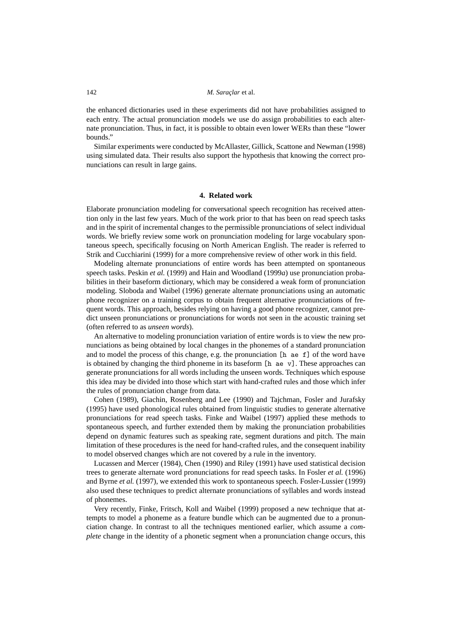the enhanced dictionaries used in these experiments did not have probabilities assigned to each entry. The actual pronunciation models we use do assign probabilities to each alternate pronunciation. Thus, in fact, it is possible to obtain even lower WERs than these "lower bounds."

Similar experiments were conducted by [McAllaster, Gillick, Scattone and Newman \(1998](#page-22-5)) using simulated data. Their results also support the hypothesis that knowing the correct pronunciations can result in large gains.

## **4. Related work**

<span id="page-5-0"></span>Elaborate pronunciation modeling for conversational speech recognition has received attention only in the last few years. Much of the work prior to that has been on read speech tasks and in the spirit of incremental changes to the permissible pronunciations of select individual words. We briefly review some work on pronunciation modeling for large vocabulary spontaneous speech, specifically focusing on North American English. The reader is referred to [Strik and Cucchiarini \(1999\)](#page-23-3) for a more comprehensive review of other work in this field.

Modeling alternate pronunciations of entire words has been attempted on spontaneous speech tasks. [Peskin](#page-23-4) *et al.* (1999) and [Hain and Woodland \(1999](#page-22-6)*a*) use pronunciation probabilities in their baseform dictionary, which may be considered a weak form of pronunciation modeling. [Sloboda and Waibel \(1996\)](#page-23-5) generate alternate pronunciations using an automatic phone recognizer on a training corpus to obtain frequent alternative pronunciations of frequent words. This approach, besides relying on having a good phone recognizer, cannot predict unseen pronunciations or pronunciations for words not seen in the acoustic training set (often referred to as *unseen words*).

An alternative to modeling pronunciation variation of entire words is to view the new pronunciations as being obtained by local changes in the phonemes of a standard pronunciation and to model the process of this change, e.g. the pronunciation  $[h \text{ ae } f]$  of the word have is obtained by changing the third phoneme in its baseform  $[h \text{ ae } v]$ . These approaches can generate pronunciations for all words including the unseen words. Techniques which espouse this idea may be divided into those which start with hand-crafted rules and those which infer the rules of pronunciation change from data.

[Cohen \(1989\)](#page-22-7), [Giachin, Rosenberg and Lee \(1990\)](#page-22-8) and [Tajchman, Fosler and Jurafsky](#page-23-6) [\(1995](#page-23-6)) have used phonological rules obtained from linguistic studies to generate alternative pronunciations for read speech tasks. [Finke and Waibel \(1997](#page-22-9)) applied these methods to spontaneous speech, and further extended them by making the pronunciation probabilities depend on dynamic features such as speaking rate, segment durations and pitch. The main limitation of these procedures is the need for hand-crafted rules, and the consequent inability to model observed changes which are not covered by a rule in the inventory.

[Lucassen and Mercer \(1984\)](#page-22-10), [Chen \(1990](#page-22-11)) and [Riley \(1991](#page-23-7)) have used statistical decision trees to generate alternate word pronunciations for read speech tasks. In [Fosler](#page-22-3) *et al.* (1996) and [Byrne](#page-21-1) *et al.* (1997), we extended this work to spontaneous speech. [Fosler-Lussier \(1999](#page-22-12)) also used these techniques to predict alternate pronunciations of syllables and words instead of phonemes.

Very recently, [Finke, Fritsch, Koll and Waibel \(1999](#page-22-13)) proposed a new technique that attempts to model a phoneme as a feature bundle which can be augmented due to a pronunciation change. In contrast to all the techniques mentioned earlier, which assume a *complete* change in the identity of a phonetic segment when a pronunciation change occurs, this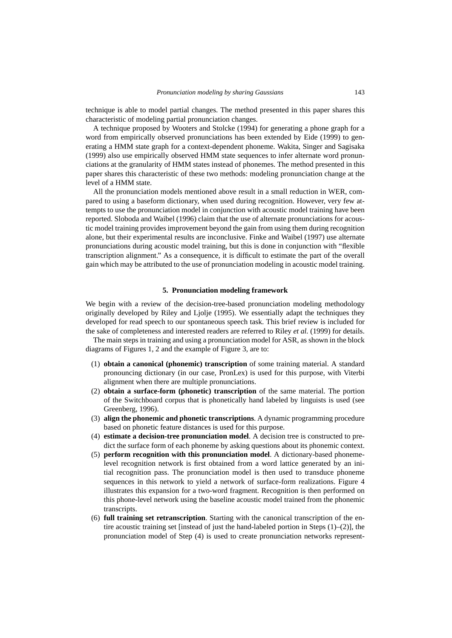technique is able to model partial changes. The method presented in this paper shares this characteristic of modeling partial pronunciation changes.

A technique proposed by [Wooters and Stolcke \(1994\)](#page-23-8) for generating a phone graph for a word from empirically observed pronunciations has been extended by [Eide \(1999](#page-22-14)) to generating a HMM state graph for a context-dependent phoneme. [Wakita, Singer and Sagisaka](#page-23-9) [\(1999](#page-23-9)) also use empirically observed HMM state sequences to infer alternate word pronunciations at the granularity of HMM states instead of phonemes. The method presented in this paper shares this characteristic of these two methods: modeling pronunciation change at the level of a HMM state.

All the pronunciation models mentioned above result in a small reduction in WER, compared to using a baseform dictionary, when used during recognition. However, very few attempts to use the pronunciation model in conjunction with acoustic model training have been reported. [Sloboda and Waibel \(1996\)](#page-23-5) claim that the use of alternate pronunciations for acoustic model training provides improvement beyond the gain from using them during recognition alone, but their experimental results are inconclusive. [Finke and Waibel \(1997](#page-22-9)) use alternate pronunciations during acoustic model training, but this is done in conjunction with "flexible transcription alignment." As a consequence, it is difficult to estimate the part of the overall gain which may be attributed to the use of pronunciation modeling in acoustic model training.

## **5. Pronunciation modeling framework**

<span id="page-6-0"></span>We begin with a review of the decision-tree-based pronunciation modeling methodology originally developed by [Riley and Ljolje \(1995\)](#page-23-10). We essentially adapt the techniques they developed for read speech to our spontaneous speech task. This brief review is included for the sake of completeness and interested readers are referred to Riley *et al.* [\(1999](#page-23-11)) for details.

The main steps in training and using a pronunciation model for ASR, as shown in the block diagrams of Figures [1](#page-7-0), [2](#page-8-1) and the example of Figure [3](#page-9-0), are to:

- <span id="page-6-1"></span>(1) **obtain a canonical (phonemic) transcription** of some training material. A standard pronouncing dictionary (in our case, PronLex) is used for this purpose, with Viterbi alignment when there are multiple pronunciations.
- <span id="page-6-2"></span>(2) **obtain a surface-form (phonetic) transcription** of the same material. The portion of the Switchboard corpus that is phonetically hand labeled by linguists is used (see [Greenberg, 1996\)](#page-22-1).
- <span id="page-6-6"></span>(3) **align the phonemic and phonetic transcriptions**. A dynamic programming procedure based on phonetic feature distances is used for this purpose.
- <span id="page-6-3"></span>(4) **estimate a decision-tree pronunciation model**. A decision tree is constructed to predict the surface form of each phoneme by asking questions about its phonemic context.
- <span id="page-6-4"></span>(5) **perform recognition with this pronunciation model**. A dictionary-based phonemelevel recognition network is first obtained from a word lattice generated by an initial recognition pass. The pronunciation model is then used to transduce phoneme sequences in this network to yield a network of surface-form realizations. Figure [4](#page-9-1) illustrates this expansion for a two-word fragment. Recognition is then performed on this phone-level network using the baseline acoustic model trained from the phonemic transcripts.
- <span id="page-6-5"></span>(6) **full training set retranscription**. Starting with the canonical transcription of the entire acoustic training set [instead of just the hand-labeled portion in Steps  $(1)$ – $(2)$  $(2)$ ], the pronunciation model of Step [\(4](#page-6-3)) is used to create pronunciation networks represent-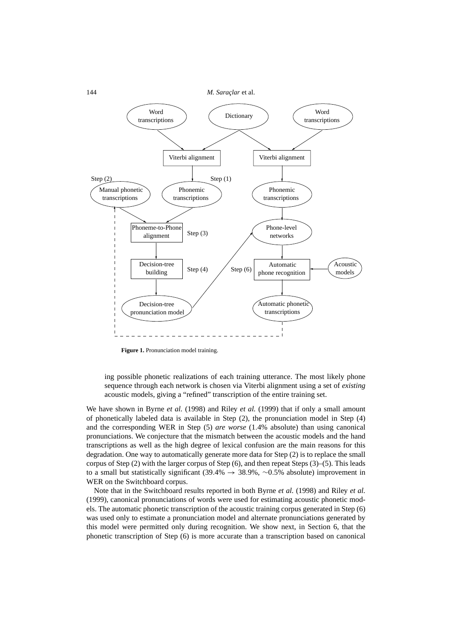

<span id="page-7-0"></span>**Figure 1.** Pronunciation model training.

ing possible phonetic realizations of each training utterance. The most likely phone sequence through each network is chosen via Viterbi alignment using a set of *existing* acoustic models, giving a "refined" transcription of the entire training set.

We have shown in [Byrne](#page-22-15) *et al.* (1998) and Riley *et al.* [\(1999\)](#page-23-11) that if only a small amount of phonetically labeled data is available in Step [\(2](#page-6-2)), the pronunciation model in Step [\(4](#page-6-3)) and the corresponding WER in Step ([5\)](#page-6-4) *are worse* (1.4% absolute) than using canonical pronunciations. We conjecture that the mismatch between the acoustic models and the hand transcriptions as well as the high degree of lexical confusion are the main reasons for this degradation. One way to automatically generate more data for Step ([2\)](#page-6-2) is to replace the small corpus of Step [\(2](#page-6-2)) with the larger corpus of Step ([6\)](#page-6-5), and then repeat Steps [\(3](#page-6-6))–[\(5](#page-6-4)). This leads to a small but statistically significant (39.4%  $\rightarrow$  38.9%,  $\sim$ 0.5% absolute) improvement in WER on the Switchboard corpus.

Note that in the Switchboard results reported in both [Byrne](#page-22-15) *et al.* (1998) and [Riley](#page-23-11) *et al.* [\(1999](#page-23-11)), canonical pronunciations of words were used for estimating acoustic phonetic models. The automatic phonetic transcription of the acoustic training corpus generated in Step [\(6](#page-6-5)) was used only to estimate a pronunciation model and alternate pronunciations generated by this model were permitted only during recognition. We show next, in Section [6](#page-8-0), that the phonetic transcription of Step ([6\)](#page-6-5) is more accurate than a transcription based on canonical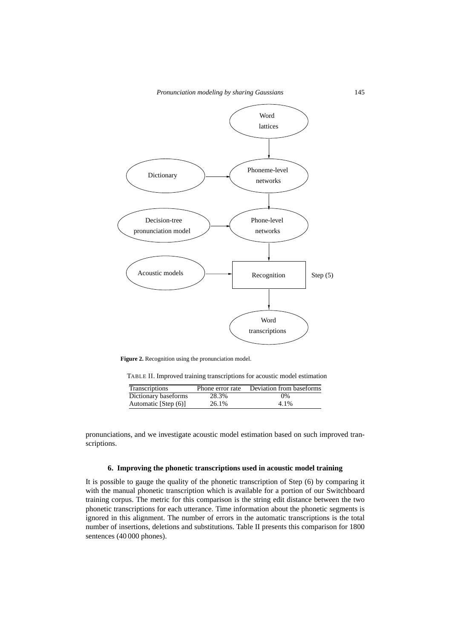

**Figure 2.** Recognition using the pronunciation model.

<span id="page-8-1"></span>TABLE II. Improved training transcriptions for acoustic model estimation

<span id="page-8-2"></span>

| Transcriptions       | Phone error rate | Deviation from baseforms |
|----------------------|------------------|--------------------------|
| Dictionary baseforms | 28.3%            | $0\%$                    |
| Automatic [Step (6)] | 26.1%            | 4.1%                     |

pronunciations, and we investigate acoustic model estimation based on such improved transcriptions.

## **6. Improving the phonetic transcriptions used in acoustic model training**

<span id="page-8-0"></span>It is possible to gauge the quality of the phonetic transcription of Step ([6\)](#page-6-5) by comparing it with the manual phonetic transcription which is available for a portion of our Switchboard training corpus. The metric for this comparison is the string edit distance between the two phonetic transcriptions for each utterance. Time information about the phonetic segments is ignored in this alignment. The number of errors in the automatic transcriptions is the total number of insertions, deletions and substitutions. Table [II](#page-8-2) presents this comparison for 1800 sentences (40 000 phones).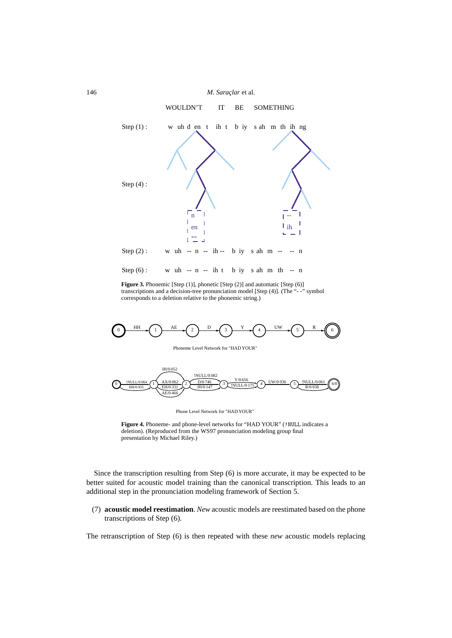

<span id="page-9-0"></span>**Figure 3.** Phonemic [Step ([1\)](#page-6-1)], phonetic [Step ([2\)](#page-6-2)] and automatic [Step [\(6](#page-6-5))] transcriptions and a decision-tree pronunciation model [Step [\(4](#page-6-3))]. (The "- -" symbol corresponds to a deletion relative to the phonemic string.)



Phone Level Network for "HAD YOUR"

<span id="page-9-1"></span>Figure 4. Phoneme- and phone-level networks for "HAD YOUR" (!NULL indicates a deletion). (Reproduced from the WS97 pronunciation modeling group final presentation by Michael Riley.)

Since the transcription resulting from Step ([6\)](#page-6-5) is more accurate, it may be expected to be better suited for acoustic model training than the canonical transcription. This leads to an additional step in the pronunciation modeling framework of Section [5.](#page-6-0)

<span id="page-9-2"></span>(7) **acoustic model reestimation**. *New* acoustic models are reestimated based on the phone transcriptions of Step ([6\)](#page-6-5).

The retranscription of Step ([6\)](#page-6-5) is then repeated with these *new* acoustic models replacing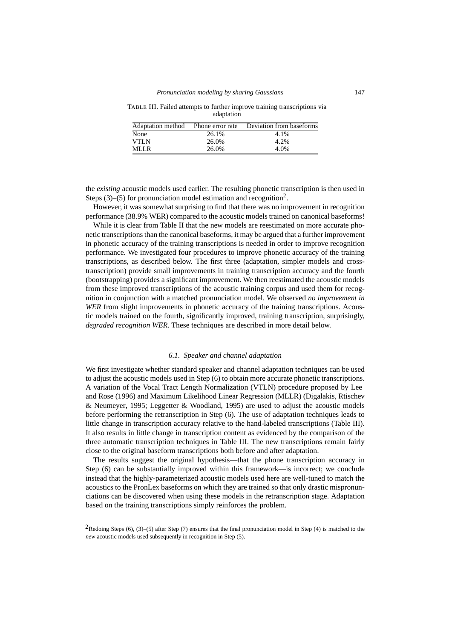TABLE III. Failed attempts to further improve training transcriptions via adaptation

<span id="page-10-2"></span>

| Adaptation method | Phone error rate | Deviation from baseforms |
|-------------------|------------------|--------------------------|
| None              | 26.1%            | 4.1%                     |
| VTLN              | 26.0%            | 4.2%                     |
| MLLR              | 26.0%            | 4.0%                     |

the *existing* acoustic models used earlier. The resulting phonetic transcription is then used in Steps  $(3)$  $(3)$ – $(5)$  $(5)$  for pronunciation model estimation and recognition<sup>[2](#page-10-1)</sup>.

However, it was somewhat surprising to find that there was no improvement in recognition performance (38.9% WER) compared to the acoustic models trained on canonical baseforms!

While it is clear from Table [II](#page-8-2) that the new models are reestimated on more accurate phonetic transcriptions than the canonical baseforms, it may be argued that a further improvement in phonetic accuracy of the training transcriptions is needed in order to improve recognition performance. We investigated four procedures to improve phonetic accuracy of the training transcriptions, as described below. The first three (adaptation, simpler models and crosstranscription) provide small improvements in training transcription accuracy and the fourth (bootstrapping) provides a significant improvement. We then reestimated the acoustic models from these improved transcriptions of the acoustic training corpus and used them for recognition in conjunction with a matched pronunciation model. We observed *no improvement in WER* from slight improvements in phonetic accuracy of the training transcriptions. Acoustic models trained on the fourth, significantly improved, training transcription, surprisingly, *degraded recognition WER*. These techniques are described in more detail below.

## *6.1. Speaker and channel adaptation*

<span id="page-10-0"></span>We first investigate whether standard speaker and channel adaptation techniques can be used to adjust the acoustic models used in Step [\(6](#page-6-5)) to obtain more accurate phonetic transcriptions. A variation of the Vocal Tract Length Normalization (VTLN) procedure proposed by [Lee](#page-22-16) [and Rose \(1996](#page-22-16)) and Maximum Likelihood Linear Regression (MLLR) ([Digalakis, Rtischev](#page-22-17) [& Neumeyer, 1995](#page-22-17); [Leggetter & Woodland, 1995](#page-22-18)) are used to adjust the acoustic models before performing the retranscription in Step ([6\)](#page-6-5). The use of adaptation techniques leads to little change in transcription accuracy relative to the hand-labeled transcriptions (Table [III\)](#page-10-2). It also results in little change in transcription content as evidenced by the comparison of the three automatic transcription techniques in Table [III](#page-10-2). The new transcriptions remain fairly close to the original baseform transcriptions both before and after adaptation.

The results suggest the original hypothesis—that the phone transcription accuracy in Step ([6\)](#page-6-5) can be substantially improved within this framework—is incorrect; we conclude instead that the highly-parameterized acoustic models used here are well-tuned to match the acoustics to the PronLex baseforms on which they are trained so that only drastic mispronunciations can be discovered when using these models in the retranscription stage. Adaptation based on the training transcriptions simply reinforces the problem.

<span id="page-10-1"></span><sup>&</sup>lt;sup>2</sup>Redoing Steps ([6\)](#page-6-5), [\(3](#page-6-6))–([5\)](#page-6-4) after Step ([7\)](#page-9-2) ensures that the final pronunciation model in Step ([4\)](#page-6-3) is matched to the *new* acoustic models used subsequently in recognition in Step [\(5](#page-6-4)).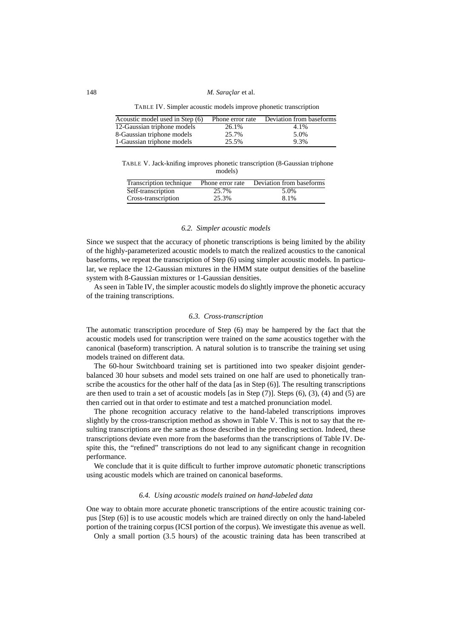<span id="page-11-0"></span>TABLE IV. Simpler acoustic models improve phonetic transcription

| Acoustic model used in Step (6) | Phone error rate | Deviation from baseforms |
|---------------------------------|------------------|--------------------------|
| 12-Gaussian triphone models     | 26.1%            | 4.1%                     |
| 8-Gaussian triphone models      | 25.7%            | 5.0%                     |
| 1-Gaussian triphone models      | 25.5%            | 9.3%                     |

TABLE V. Jack-knifing improves phonetic transcription (8-Gaussian triphone models)

<span id="page-11-1"></span>

| Transcription technique | Phone error rate | Deviation from baseforms |
|-------------------------|------------------|--------------------------|
| Self-transcription      | 25.7%            | 5.0%                     |
| Cross-transcription     | 25.3%            | 8.1%                     |

## *6.2. Simpler acoustic models*

<span id="page-11-3"></span>Since we suspect that the accuracy of phonetic transcriptions is being limited by the ability of the highly-parameterized acoustic models to match the realized acoustics to the canonical baseforms, we repeat the transcription of Step [\(6](#page-6-5)) using simpler acoustic models. In particular, we replace the 12-Gaussian mixtures in the HMM state output densities of the baseline system with 8-Gaussian mixtures or 1-Gaussian densities.

As seen in Table [IV,](#page-11-0) the simpler acoustic models do slightly improve the phonetic accuracy of the training transcriptions.

## *6.3. Cross-transcription*

<span id="page-11-2"></span>The automatic transcription procedure of Step ([6\)](#page-6-5) may be hampered by the fact that the acoustic models used for transcription were trained on the *same* acoustics together with the canonical (baseform) transcription. A natural solution is to transcribe the training set using models trained on different data.

The 60-hour Switchboard training set is partitioned into two speaker disjoint genderbalanced 30 hour subsets and model sets trained on one half are used to phonetically transcribe the acoustics for the other half of the data [as in Step  $(6)$  $(6)$ ]. The resulting transcriptions are then used to train a set of acoustic models [as in Step ([7\)](#page-9-2)]. Steps [\(6](#page-6-5)), ([3\)](#page-6-6), ([4\)](#page-6-3) and [\(5](#page-6-4)) are then carried out in that order to estimate and test a matched pronunciation model.

The phone recognition accuracy relative to the hand-labeled transcriptions improves slightly by the cross-transcription method as shown in Table [V.](#page-11-1) This is not to say that the resulting transcriptions are the same as those described in the preceding section. Indeed, these transcriptions deviate even more from the baseforms than the transcriptions of Table [IV.](#page-11-0) Despite this, the "refined" transcriptions do not lead to any significant change in recognition performance.

We conclude that it is quite difficult to further improve *automatic* phonetic transcriptions using acoustic models which are trained on canonical baseforms.

## *6.4. Using acoustic models trained on hand-labeled data*

<span id="page-11-4"></span>One way to obtain more accurate phonetic transcriptions of the entire acoustic training corpus [Step ([6\)](#page-6-5)] is to use acoustic models which are trained directly on only the hand-labeled portion of the training corpus (ICSI portion of the corpus). We investigate this avenue as well.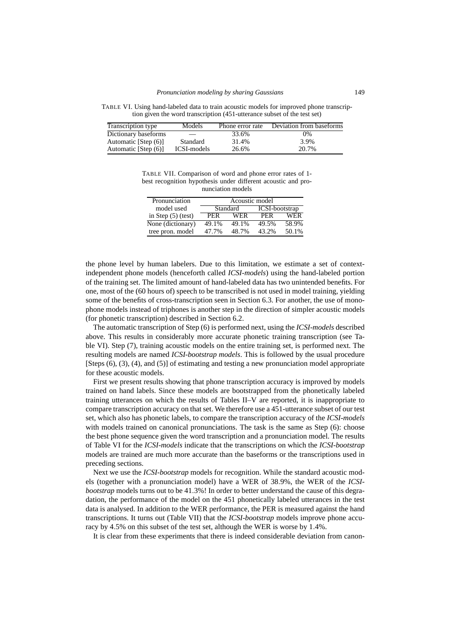TABLE VI. Using hand-labeled data to train acoustic models for improved phone transcription given the word transcription (451-utterance subset of the test set)

<span id="page-12-0"></span>

| Transcription type      | Models      | Phone error rate | Deviation from baseforms |
|-------------------------|-------------|------------------|--------------------------|
| Dictionary baseforms    |             | 33.6%            | $0\%$                    |
| Automatic [Step (6)]    | Standard    | 31.4%            | 3.9%                     |
| Automatic [Step $(6)$ ] | ICSI-models | 26.6%            | 20.7%                    |

TABLE VII. Comparison of word and phone error rates of 1 best recognition hypothesis under different acoustic and pronunciation models

<span id="page-12-1"></span>

| Pronunciation        | Acoustic model |          |                       |            |  |
|----------------------|----------------|----------|-----------------------|------------|--|
| model used           |                | Standard | <b>ICSI-bootstrap</b> |            |  |
| in Step $(5)$ (test) | PER            | WER.     | PER                   | <b>WER</b> |  |
| None (dictionary)    | 49.1%          | 49.1%    | 49.5%                 | 58.9%      |  |
| tree pron. model     | 47.7%          | 48.7%    | 43.2%                 | 50.1%      |  |

the phone level by human labelers. Due to this limitation, we estimate a set of contextindependent phone models (henceforth called *ICSI-models*) using the hand-labeled portion of the training set. The limited amount of hand-labeled data has two unintended benefits. For one, most of the (60 hours of) speech to be transcribed is not used in model training, yielding some of the benefits of cross-transcription seen in Section [6.3.](#page-11-2) For another, the use of monophone models instead of triphones is another step in the direction of simpler acoustic models (for phonetic transcription) described in Section [6.2.](#page-11-3)

The automatic transcription of Step ([6\)](#page-6-5) is performed next, using the *ICSI-models* described above. This results in considerably more accurate phonetic training transcription (see Table [VI](#page-12-0)). Step ([7\)](#page-9-2), training acoustic models on the entire training set, is performed next. The resulting models are named *ICSI-bootstrap models*. This is followed by the usual procedure [Steps [\(6](#page-6-5)), [\(3](#page-6-6)), ([4\)](#page-6-3), and ([5\)](#page-6-4)] of estimating and testing a new pronunciation model appropriate for these acoustic models.

First we present results showing that phone transcription accuracy is improved by models trained on hand labels. Since these models are bootstrapped from the phonetically labeled training utterances on which the results of Tables [II–](#page-8-2)[V](#page-11-1) are reported, it is inappropriate to compare transcription accuracy on that set. We therefore use a 451-utterance subset of our test set, which also has phonetic labels, to compare the transcription accuracy of the *ICSI-models* with models trained on canonical pronunciations. The task is the same as Step ([6\)](#page-6-5): choose the best phone sequence given the word transcription and a pronunciation model. The results of Table [VI](#page-12-0) for the *ICSI-models* indicate that the transcriptions on which the *ICSI-bootstrap* models are trained are much more accurate than the baseforms or the transcriptions used in preceding sections.

Next we use the *ICSI-bootstrap* models for recognition. While the standard acoustic models (together with a pronunciation model) have a WER of 38.9%, the WER of the *ICSIbootstrap* models turns out to be 41.3%! In order to better understand the cause of this degradation, the performance of the model on the 451 phonetically labeled utterances in the test data is analysed. In addition to the WER performance, the PER is measured against the hand transcriptions. It turns out (Table [VII](#page-12-1)) that the *ICSI-bootstrap* models improve phone accuracy by 4.5% on this subset of the test set, although the WER is worse by 1.4%.

It is clear from these experiments that there is indeed considerable deviation from canon-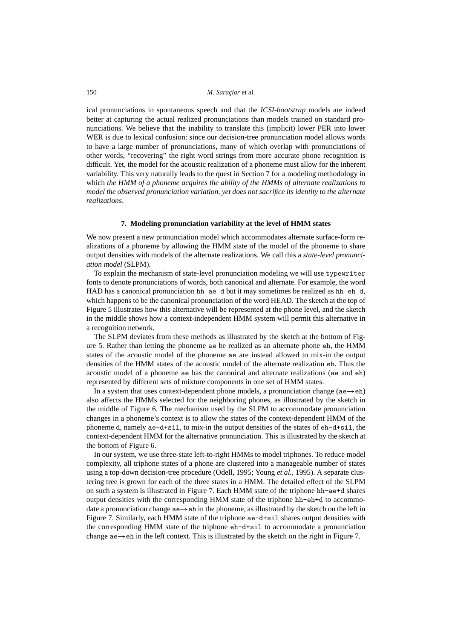ical pronunciations in spontaneous speech and that the *ICSI-bootstrap* models are indeed better at capturing the actual realized pronunciations than models trained on standard pronunciations. We believe that the inability to translate this (implicit) lower PER into lower WER is due to lexical confusion: since our decision-tree pronunciation model allows words to have a large number of pronunciations, many of which overlap with pronunciations of other words, "recovering" the right word strings from more accurate phone recognition is difficult. Yet, the model for the acoustic realization of a phoneme must allow for the inherent variability. This very naturally leads to the quest in Section [7](#page-13-0) for a modeling methodology in which *the HMM of a phoneme acquires the ability of the HMMs of alternate realizations to model the observed pronunciation variation, yet does not sacrifice its identity to the alternate realizations*.

## **7. Modeling pronunciation variability at the level of HMM states**

<span id="page-13-0"></span>We now present a new pronunciation model which accommodates alternate surface-form realizations of a phoneme by allowing the HMM state of the model of the phoneme to share output densities with models of the alternate realizations. We call this a *state-level pronunciation model* (SLPM).

To explain the mechanism of state-level pronunciation modeling we will use typewriter fonts to denote pronunciations of words, both canonical and alternate. For example, the word HAD has a canonical pronunciation hh ae d but it may sometimes be realized as hh eh d, which happens to be the canonical pronunciation of the word HEAD. The sketch at the top of Figure [5](#page-14-0) illustrates how this alternative will be represented at the phone level, and the sketch in the middle shows how a context-independent HMM system will permit this alternative in a recognition network.

The SLPM deviates from these methods as illustrated by the sketch at the bottom of Figure [5.](#page-14-0) Rather than letting the phoneme ae be realized as an alternate phone eh, the HMM states of the acoustic model of the phoneme ae are instead allowed to mix-in the output densities of the HMM states of the acoustic model of the alternate realization eh. Thus the acoustic model of a phoneme ae has the canonical and alternate realizations (ae and eh) represented by different sets of mixture components in one set of HMM states.

In a system that uses context-dependent phone models, a pronunciation change (ae→eh) also affects the HMMs selected for the neighboring phones, as illustrated by the sketch in the middle of Figure [6](#page-15-0). The mechanism used by the SLPM to accommodate pronunciation changes in a phoneme's context is to allow the states of the context-dependent HMM of the phoneme d, namely ae-d+sil, to mix-in the output densities of the states of eh-d+sil, the context-dependent HMM for the alternative pronunciation. This is illustrated by the sketch at the bottom of Figure [6.](#page-15-0)

In our system, we use three-state left-to-right HMMs to model triphones. To reduce model complexity, all triphone states of a phone are clustered into a manageable number of states using a top-down decision-tree procedure [\(Odell, 1995](#page-23-12); [Young](#page-23-1) *et al.*, 1995). A separate clustering tree is grown for each of the three states in a HMM. The detailed effect of the SLPM on such a system is illustrated in Figure [7](#page-16-0). Each HMM state of the triphone hh-ae+d shares output densities with the corresponding HMM state of the triphone hh-eh+d to accommodate a pronunciation change  $ae \rightarrow eh$  in the phoneme, as illustrated by the sketch on the left in Figure [7.](#page-16-0) Similarly, each HMM state of the triphone ae-d+sil shares output densities with the corresponding HMM state of the triphone eh-d+sil to accommodate a pronunciation change ae→eh in the left context. This is illustrated by the sketch on the right in Figure [7.](#page-16-0)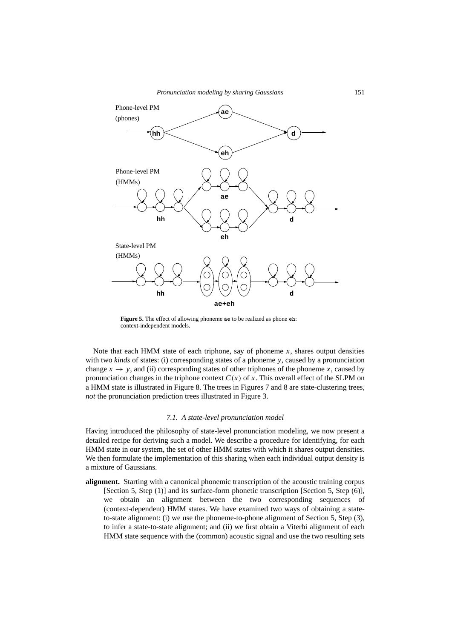

<span id="page-14-0"></span>Figure 5. The effect of allowing phoneme ae to be realized as phone eh: context-independent models.

Note that each HMM state of each triphone, say of phoneme  $x$ , shares output densities with two *kinds* of states: (i) corresponding states of a phoneme *y*, caused by a pronunciation change  $x \to y$ , and (ii) corresponding states of other triphones of the phoneme *x*, caused by pronunciation changes in the triphone context  $C(x)$  of x. This overall effect of the SLPM on a HMM state is illustrated in Figure [8.](#page-16-1) The trees in Figures [7](#page-16-0) and [8](#page-16-1) are state-clustering trees, *not* the pronunciation prediction trees illustrated in Figure [3](#page-9-0).

## *7.1. A state-level pronunciation model*

<span id="page-14-1"></span>Having introduced the philosophy of state-level pronunciation modeling, we now present a detailed recipe for deriving such a model. We describe a procedure for identifying, for each HMM state in our system, the set of other HMM states with which it shares output densities. We then formulate the implementation of this sharing when each individual output density is a mixture of Gaussians.

**alignment.** Starting with a canonical phonemic transcription of the acoustic training corpus [Section [5,](#page-6-0) Step [\(1](#page-6-1))] and its surface-form phonetic transcription [Section [5](#page-6-0), Step [\(6](#page-6-5))], we obtain an alignment between the two corresponding sequences of (context-dependent) HMM states. We have examined two ways of obtaining a stateto-state alignment: (i) we use the phoneme-to-phone alignment of Section [5,](#page-6-0) Step ([3\)](#page-6-6), to infer a state-to-state alignment; and (ii) we first obtain a Viterbi alignment of each HMM state sequence with the (common) acoustic signal and use the two resulting sets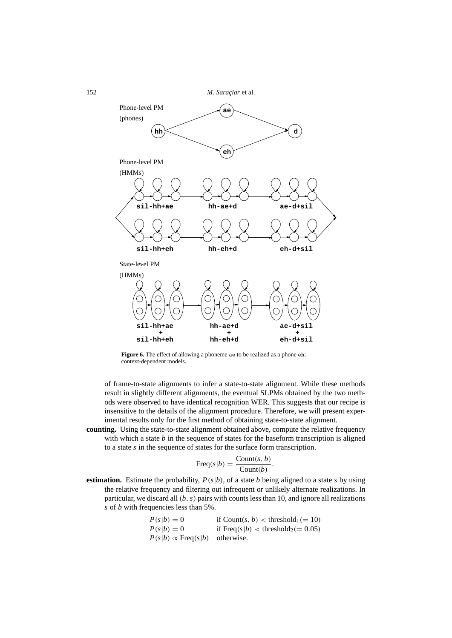

<span id="page-15-0"></span>**Figure 6.** The effect of allowing a phoneme ae to be realized as a phone eh: context-dependent models.

of frame-to-state alignments to infer a state-to-state alignment. While these methods result in slightly different alignments, the eventual SLPMs obtained by the two methods were observed to have identical recognition WER. This suggests that our recipe is insensitive to the details of the alignment procedure. Therefore, we will present experimental results only for the first method of obtaining state-to-state alignment.

**counting.** Using the state-to-state alignment obtained above, compute the relative frequency with which a state *b* in the sequence of states for the baseform transcription is aligned to a state *s* in the sequence of states for the surface form transcription.

$$
Freq(s|b) = \frac{Count(s, b)}{Count(b)}.
$$

**estimation.** Estimate the probability,  $P(s|b)$ , of a state *b* being aligned to a state *s* by using the relative frequency and filtering out infrequent or unlikely alternate realizations. In particular, we discard all (*b*,*s*) pairs with counts less than 10, and ignore all realizations *s* of *b* with frequencies less than 5%.

$$
P(s|b) = 0
$$
 if Count(s, b) < threshold<sub>1</sub>(= 10)  
\n
$$
P(s|b) = 0
$$
 if Freq(s|b) < threshold<sub>2</sub>(= 0.05)  
\n
$$
P(s|b) \propto \text{Freq}(s|b)
$$
 otherwise.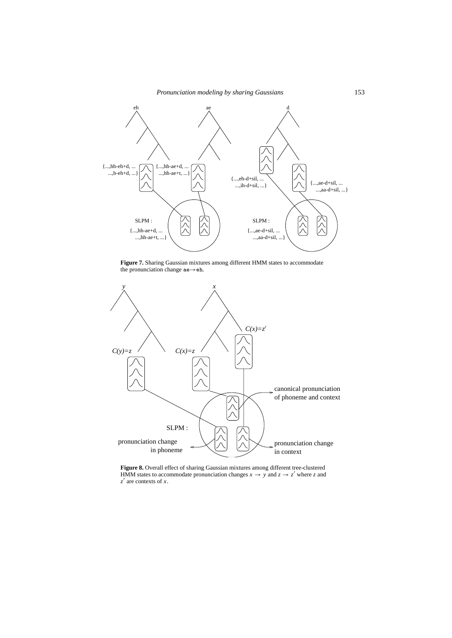

<span id="page-16-0"></span>Figure 7. Sharing Gaussian mixtures among different HMM states to accommodate the pronunciation change ae→eh.



<span id="page-16-1"></span>**Figure 8.** Overall effect of sharing Gaussian mixtures among different tree-clustered HMM states to accommodate pronunciation changes  $x \rightarrow y$  and  $z \rightarrow z'$  where *z* and  $z'$  are contexts of *x*.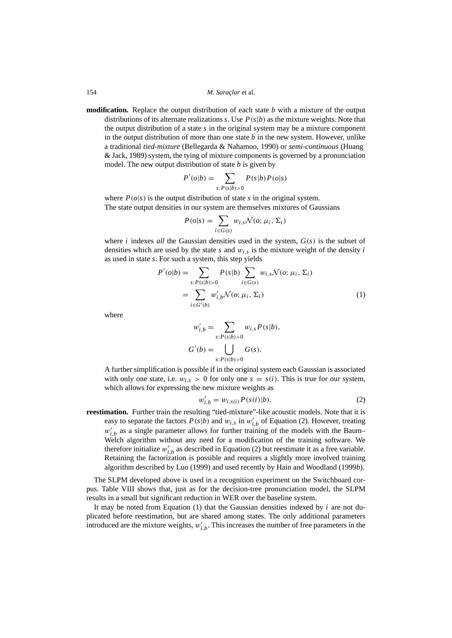**modification.** Replace the output distribution of each state *b* with a mixture of the output distributions of its alternate realizations *s*. Use *P*(*s*|*b*) as the mixture weights. Note that the output distribution of a state *s* in the original system may be a mixture component in the output distribution of more than one state *b* in the new system. However, unlike a traditional *tied-mixture* [\(Bellegarda & Nahamoo, 1990](#page-21-2)) or *semi-continuous* [\(Huang](#page-22-19) [& Jack, 1989](#page-22-19)) system, the tying of mixture components is governed by a pronunciation model. The new output distribution of state *b* is given by

$$
P'(o|b) = \sum_{s:P(s|b) > 0} P(s|b)P(o|s)
$$

where  $P(o|s)$  is the output distribution of state *s* in the original system. The state output densities in our system are themselves mixtures of Gaussians

$$
P(o|s) = \sum_{i \in G(s)} w_{i,s} \mathcal{N}(o; \mu_i, \Sigma_i)
$$

where *i* indexes *all* the Gaussian densities used in the system,  $G(s)$  is the subset of densities which are used by the state *s* and w*i*,*<sup>s</sup>* is the mixture weight of the density *i* as used in state *s*. For such a system, this step yields

<span id="page-17-1"></span>
$$
P'(o|b) = \sum_{s:P(s|b) > 0} P(s|b) \sum_{i \in G(s)} w_{i,s} \mathcal{N}(o; \mu_i, \Sigma_i)
$$
  
= 
$$
\sum_{i \in G'(b)} w'_{i,b} \mathcal{N}(o; \mu_i, \Sigma_i)
$$
 (1)

where

$$
w'_{i,b} = \sum_{s:P(s|b) > 0} w_{i,s} P(s|b),
$$
  

$$
G'(b) = \bigcup_{s:P(s|b) > 0} G(s).
$$

A further simplification is possible if in the original system each Gaussian is associated with only one state, i.e.  $w_{i,s} > 0$  for only one  $s = s(i)$ . This is true for our system, which allows for expressing the new mixture weights as

<span id="page-17-0"></span>
$$
w'_{i,b} = w_{i,s(i)} P(s(i)|b).
$$
 (2)

reestimation. Further train the resulting "tied-mixture"-like acoustic models. Note that it is easy to separate the factors  $P(s|b)$  and  $w_{i,s}$  in  $w_i'$  $i<sub>i</sub>$ , *b* of Equation ([2\)](#page-17-0). However, treating  $w_i'$  $i<sub>i</sub>$ , as a single parameter allows for further training of the models with the Baum– Welch algorithm without any need for a modification of the training software. We therefore initialize  $w'_{i,b}$  as described in Equation [\(2](#page-17-0)) but reestimate it as a free variable. Retaining the factorization is possible and requires a slightly more involved training algorithm described by [Luo \(1999\)](#page-22-20) and used recently by [Hain and Woodland \(1999](#page-22-21)*b*).

The SLPM developed above is used in a recognition experiment on the Switchboard corpus. Table [VIII](#page-18-0) shows that, just as for the decision-tree pronunciation model, the SLPM results in a small but significant reduction in WER over the baseline system.

It may be noted from Equation ([1\)](#page-17-1) that the Gaussian densities indexed by *i* are not duplicated before reestimation, but are shared among states. The only additional parameters introduced are the mixture weights,  $w'_{i,b}$ . This increases the number of free parameters in the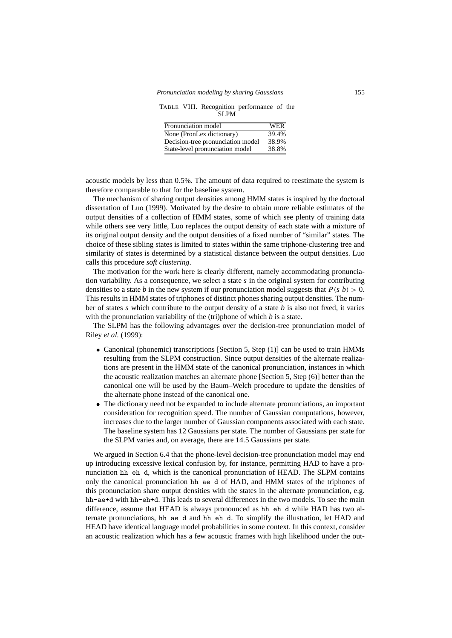|  |             | TABLE VIII. Recognition performance of the |  |
|--|-------------|--------------------------------------------|--|
|  | <b>SLPM</b> |                                            |  |

<span id="page-18-0"></span>

| Pronunciation model               | WER   |
|-----------------------------------|-------|
| None (PronLex dictionary)         | 39.4% |
| Decision-tree pronunciation model | 38.9% |
| State-level pronunciation model   | 38.8% |

acoustic models by less than 0.5%. The amount of data required to reestimate the system is therefore comparable to that for the baseline system.

The mechanism of sharing output densities among HMM states is inspired by the doctoral dissertation of [Luo \(1999](#page-22-20)). Motivated by the desire to obtain more reliable estimates of the output densities of a collection of HMM states, some of which see plenty of training data while others see very little, Luo replaces the output density of each state with a mixture of its original output density and the output densities of a fixed number of "similar" states. The choice of these sibling states is limited to states within the same triphone-clustering tree and similarity of states is determined by a statistical distance between the output densities. Luo calls this procedure *soft clustering*.

The motivation for the work here is clearly different, namely accommodating pronunciation variability. As a consequence, we select a state *s* in the original system for contributing densities to a state *b* in the new system if our pronunciation model suggests that  $P(s|b) > 0$ . This results in HMM states of triphones of distinct phones sharing output densities. The number of states *s* which contribute to the output density of a state *b* is also not fixed, it varies with the pronunciation variability of the (tri)phone of which *b* is a state.

The SLPM has the following advantages over the decision-tree pronunciation model of Riley *et al.* [\(1999](#page-23-11)):

- Canonical (phonemic) transcriptions [Section [5,](#page-6-0) Step  $(1)$  $(1)$ ] can be used to train HMMs resulting from the SLPM construction. Since output densities of the alternate realizations are present in the HMM state of the canonical pronunciation, instances in which the acoustic realization matches an alternate phone [Section [5](#page-6-0), Step ([6\)](#page-6-5)] better than the canonical one will be used by the Baum–Welch procedure to update the densities of the alternate phone instead of the canonical one.
- The dictionary need not be expanded to include alternate pronunciations, an important consideration for recognition speed. The number of Gaussian computations, however, increases due to the larger number of Gaussian components associated with each state. The baseline system has 12 Gaussians per state. The number of Gaussians per state for the SLPM varies and, on average, there are 14.5 Gaussians per state.

We argued in Section [6.4](#page-11-4) that the phone-level decision-tree pronunciation model may end up introducing excessive lexical confusion by, for instance, permitting HAD to have a pronunciation hh eh d, which is the canonical pronunciation of HEAD. The SLPM contains only the canonical pronunciation hh ae d of HAD, and HMM states of the triphones of this pronunciation share output densities with the states in the alternate pronunciation, e.g. hh-ae+d with hh-eh+d. This leads to several differences in the two models. To see the main difference, assume that HEAD is always pronounced as hh eh d while HAD has two alternate pronunciations, hh ae d and hh eh d. To simplify the illustration, let HAD and HEAD have identical language model probabilities in some context. In this context, consider an acoustic realization which has a few acoustic frames with high likelihood under the out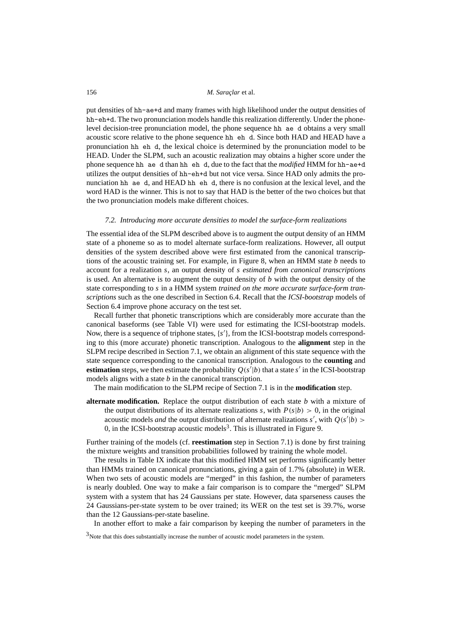put densities of hh-ae+d and many frames with high likelihood under the output densities of hh-eh+d. The two pronunciation models handle this realization differently. Under the phonelevel decision-tree pronunciation model, the phone sequence hh ae d obtains a very small acoustic score relative to the phone sequence hh eh d. Since both HAD and HEAD have a pronunciation hh eh d, the lexical choice is determined by the pronunciation model to be HEAD. Under the SLPM, such an acoustic realization may obtains a higher score under the phone sequence hh ae d than hh eh d, due to the fact that the *modified* HMM for hh-ae+d utilizes the output densities of hh-eh+d but not vice versa. Since HAD only admits the pronunciation hh ae d, and HEAD hh eh d, there is no confusion at the lexical level, and the word HAD is the winner. This is not to say that HAD is the better of the two choices but that the two pronunciation models make different choices.

## *7.2. Introducing more accurate densities to model the surface-form realizations*

<span id="page-19-1"></span>The essential idea of the SLPM described above is to augment the output density of an HMM state of a phoneme so as to model alternate surface-form realizations. However, all output densities of the system described above were first estimated from the canonical transcriptions of the acoustic training set. For example, in Figure [8,](#page-16-1) when an HMM state *b* needs to account for a realization *s*, an output density of *s estimated from canonical transcriptions* is used. An alternative is to augment the output density of *b* with the output density of the state corresponding to *s* in a HMM system *trained on the more accurate surface-form transcriptions* such as the one described in Section [6.4.](#page-11-4) Recall that the *ICSI-bootstrap* models of Section [6.4](#page-11-4) improve phone accuracy on the test set.

Recall further that phonetic transcriptions which are considerably more accurate than the canonical baseforms (see Table [VI](#page-12-0)) were used for estimating the ICSI-bootstrap models. Now, there is a sequence of triphone states, {s'}, from the ICSI-bootstrap models corresponding to this (more accurate) phonetic transcription. Analogous to the **alignment** step in the SLPM recipe described in Section [7.1,](#page-14-1) we obtain an alignment of this state sequence with the state sequence corresponding to the canonical transcription. Analogous to the **counting** and **estimation** steps, we then estimate the probability  $Q(s'|b)$  that a state  $s'$  in the ICSI-bootstrap models aligns with a state *b* in the canonical transcription.

The main modification to the SLPM recipe of Section [7.1](#page-14-1) is in the **modification** step.

**alternate modification.** Replace the output distribution of each state *b* with a mixture of the output distributions of its alternate realizations *s*, with  $P(s|b) > 0$ , in the original acoustic models *and* the output distribution of alternate realizations *s'*, with  $Q(s'|b)$  > 0, in the ICSI-bootstrap acoustic models<sup>[3](#page-19-0)</sup>. This is illustrated in Figure [9.](#page-20-0)

Further training of the models (cf. **reestimation** step in Section [7.1](#page-14-1)) is done by first training the mixture weights and transition probabilities followed by training the whole model.

The results in Table [IX](#page-20-1) indicate that this modified HMM set performs significantly better than HMMs trained on canonical pronunciations, giving a gain of 1.7% (absolute) in WER. When two sets of acoustic models are "merged" in this fashion, the number of parameters is nearly doubled. One way to make a fair comparison is to compare the "merged" SLPM system with a system that has 24 Gaussians per state. However, data sparseness causes the 24 Gaussians-per-state system to be over trained; its WER on the test set is 39.7%, worse than the 12 Gaussians-per-state baseline.

In another effort to make a fair comparison by keeping the number of parameters in the

<span id="page-19-0"></span> $3$ Note that this does substantially increase the number of acoustic model parameters in the system.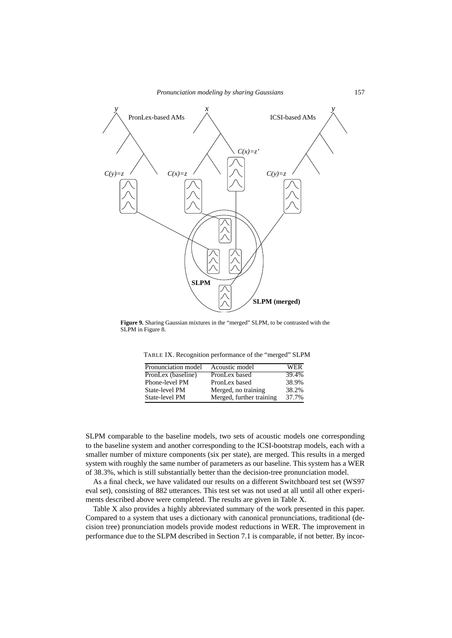

<span id="page-20-0"></span>**Figure 9.** Sharing Gaussian mixtures in the "merged" SLPM, to be contrasted with the SLPM in Figure [8.](#page-16-1)

TABLE IX. Recognition performance of the "merged" SLPM

<span id="page-20-1"></span>

| Pronunciation model | Acoustic model           | <b>WER</b> |
|---------------------|--------------------------|------------|
| PronLex (baseline)  | PronLex based            | 39.4%      |
| Phone-level PM      | PronLex based            | 38.9%      |
| State-level PM      | Merged, no training      | 38.2%      |
| State-level PM      | Merged, further training | 37.7%      |

SLPM comparable to the baseline models, two sets of acoustic models one corresponding to the baseline system and another corresponding to the ICSI-bootstrap models, each with a smaller number of mixture components (six per state), are merged. This results in a merged system with roughly the same number of parameters as our baseline. This system has a WER of 38.3%, which is still substantially better than the decision-tree pronunciation model.

As a final check, we have validated our results on a different Switchboard test set (WS97 eval set), consisting of 882 utterances. This test set was not used at all until all other experiments described above were completed. The results are given in Table [X](#page-21-3).

Table [X](#page-21-3) also provides a highly abbreviated summary of the work presented in this paper. Compared to a system that uses a dictionary with canonical pronunciations, traditional (decision tree) pronunciation models provide modest reductions in WER. The improvement in performance due to the SLPM described in Section [7.1](#page-14-1) is comparable, if not better. By incor-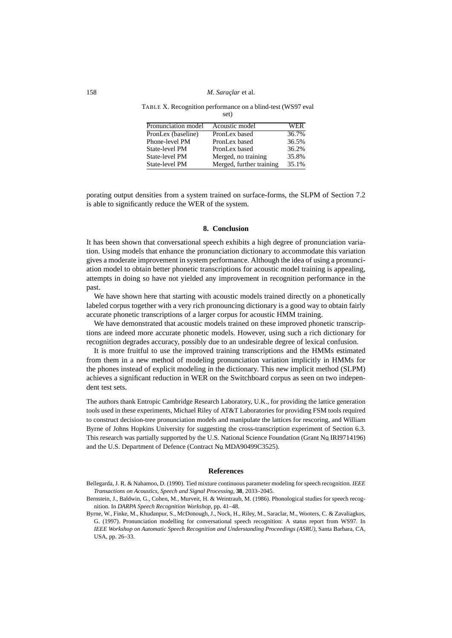| TABLE X. Recognition performance on a blind-test (WS97 eval |
|-------------------------------------------------------------|
| set)                                                        |

<span id="page-21-3"></span>

| Pronunciation model | Acoustic model           | WER   |
|---------------------|--------------------------|-------|
| PronLex (baseline)  | PronLex based            | 36.7% |
| Phone-level PM      | PronLex based            | 36.5% |
| State-level PM      | PronLex based            | 36.2% |
| State-level PM      | Merged, no training      | 35.8% |
| State-level PM      | Merged, further training | 35.1% |

porating output densities from a system trained on surface-forms, the SLPM of Section [7.2](#page-19-1) is able to significantly reduce the WER of the system.

## **8. Conclusion**

It has been shown that conversational speech exhibits a high degree of pronunciation variation. Using models that enhance the pronunciation dictionary to accommodate this variation gives a moderate improvement in system performance. Although the idea of using a pronunciation model to obtain better phonetic transcriptions for acoustic model training is appealing, attempts in doing so have not yielded any improvement in recognition performance in the past.

We have shown here that starting with acoustic models trained directly on a phonetically labeled corpus together with a very rich pronouncing dictionary is a good way to obtain fairly accurate phonetic transcriptions of a larger corpus for acoustic HMM training.

We have demonstrated that acoustic models trained on these improved phonetic transcriptions are indeed more accurate phonetic models. However, using such a rich dictionary for recognition degrades accuracy, possibly due to an undesirable degree of lexical confusion.

It is more fruitful to use the improved training transcriptions and the HMMs estimated from them in a new method of modeling pronunciation variation implicitly in HMMs for the phones instead of explicit modeling in the dictionary. This new implicit method (SLPM) achieves a significant reduction in WER on the Switchboard corpus as seen on two independent test sets.

The authors thank Entropic Cambridge Research Laboratory, U.K., for providing the lattice generation tools used in these experiments, Michael Riley of AT&T Laboratories for providing FSM tools required to construct decision-tree pronunciation models and manipulate the lattices for rescoring, and William Byrne of Johns Hopkins University for suggesting the cross-transcription experiment of Section [6.3](#page-11-2). This research was partially supported by the U.S. National Science Foundation (Grant No IRI9714196)<br>and the U.S. Denotineart of Defense (Gentreat No MDA00400C2525) and the U.S. Department of Defence (Contract No MDA90499C3525).

#### **References**

<span id="page-21-2"></span>Bellegarda, J. R. & Nahamoo, D. (1990). Tied mixture continuous parameter modeling for speech recognition. *IEEE Transactions on Acoustics, Speech and Signal Processing*, **38**, 2033–2045.

<span id="page-21-0"></span>Bernstein, J., Baldwin, G., Cohen, M., Murveit, H. & Weintraub, M. (1986). Phonological studies for speech recognition. In *DARPA Speech Recognition Workshop*, pp. 41–48.

<span id="page-21-1"></span>Byrne, W., Finke, M., Khudanpur, S., McDonough, J., Nock, H., Riley, M., Saraclar, M., Wooters, C. & Zavaliagkos, G. (1997). Pronunciation modelling for conversational speech recognition: A status report from WS97. In *IEEE Workshop on Automatic Speech Recognition and Understanding Proceedings (ASRU),* Santa Barbara, CA, USA, pp. 26–33.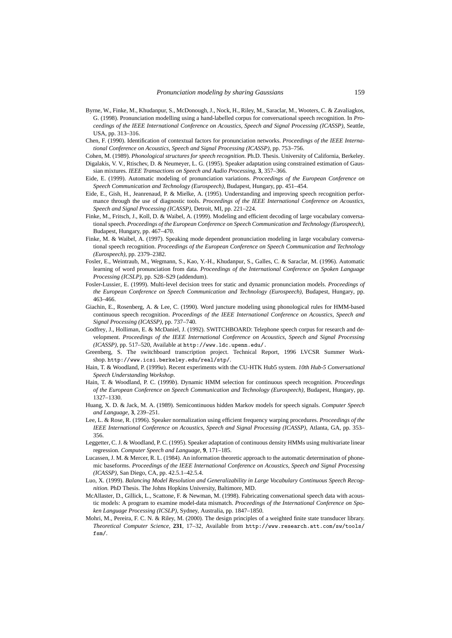- <span id="page-22-15"></span>Byrne, W., Finke, M., Khudanpur, S., McDonough, J., Nock, H., Riley, M., Saraclar, M., Wooters, C. & Zavaliagkos, G. (1998). Pronunciation modelling using a hand-labelled corpus for conversational speech recognition. In *Proceedings of the IEEE International Conference on Acoustics, Speech and Signal Processing (ICASSP),* Seattle, USA, pp. 313–316.
- <span id="page-22-11"></span>Chen, F. (1990). Identification of contextual factors for pronunciation networks. *Proceedings of the IEEE International Conference on Acoustics, Speech and Signal Processing (ICASSP)*, pp. 753–756.
- <span id="page-22-7"></span>Cohen, M. (1989). *Phonological structures for speech recognition.* Ph.D. Thesis. University of California, Berkeley. Digalakis, V. V., Rtischev, D. & Neumeyer, L. G. (1995). Speaker adaptation using constrained estimation of Gaussian mixtures. *IEEE Transactions on Speech and Audio Processing*, **3**, 357–366.
- <span id="page-22-17"></span><span id="page-22-14"></span>Eide, E. (1999). Automatic modeling of pronunciation variations. *Proceedings of the European Conference on Speech Communication and Technology (Eurospeech),* Budapest, Hungary, pp. 451–454.
- <span id="page-22-4"></span>Eide, E., Gish, H., Jeanrenaud, P. & Mielke, A. (1995). Understanding and improving speech recognition performance through the use of diagnostic tools. *Proceedings of the IEEE International Conference on Acoustics, Speech and Signal Processing (ICASSP),* Detroit, MI, pp. 221–224.
- <span id="page-22-13"></span>Finke, M., Fritsch, J., Koll, D. & Waibel, A. (1999). Modeling and efficient decoding of large vocabulary conversational speech. *Proceedings of the European Conference on Speech Communication and Technology (Eurospeech),* Budapest, Hungary, pp. 467–470.
- <span id="page-22-9"></span>Finke, M. & Waibel, A. (1997). Speaking mode dependent pronunciation modeling in large vocabulary conversational speech recognition. *Proceedings of the European Conference on Speech Communication and Technology (Eurospeech)*, pp. 2379–2382.
- <span id="page-22-3"></span>Fosler, E., Weintraub, M., Wegmann, S., Kao, Y.-H., Khudanpur, S., Galles, C. & Saraclar, M. (1996). Automatic learning of word pronunciation from data. *Proceedings of the International Conference on Spoken Language Processing (ICSLP)*, pp. S28–S29 (addendum).
- <span id="page-22-12"></span>Fosler-Lussier, E. (1999). Multi-level decision trees for static and dynamic pronunciation models. *Proceedings of the European Conference on Speech Communication and Technology (Eurospeech),* Budapest, Hungary, pp. 463–466.
- <span id="page-22-8"></span>Giachin, E., Rosenberg, A. & Lee, C. (1990). Word juncture modeling using phonological rules for HMM-based continuous speech recognition. *Proceedings of the IEEE International Conference on Acoustics, Speech and Signal Processing (ICASSP)*, pp. 737–740.
- <span id="page-22-0"></span>Godfrey, J., Holliman, E. & McDaniel, J. (1992). SWITCHBOARD: Telephone speech corpus for research and development. *Proceedings of the IEEE International Conference on Acoustics, Speech and Signal Processing (ICASSP)*, pp. 517–520, Available at http://www.ldc.upenn.edu/.
- <span id="page-22-1"></span>Greenberg, S. The switchboard transcription project. Technical Report, 1996 LVCSR Summer Workshop. http://www.icsi.berkeley.edu/real/stp/.
- <span id="page-22-6"></span>Hain, T. & Woodland, P. (1999*a*). Recent experiments with the CU-HTK Hub5 system. *10th Hub-5 Conversational Speech Understanding Workshop*.
- <span id="page-22-21"></span>Hain, T. & Woodland, P. C. (1999*b*). Dynamic HMM selection for continuous speech recognition. *Proceedings of the European Conference on Speech Communication and Technology (Eurospeech),* Budapest, Hungary, pp. 1327–1330.
- <span id="page-22-19"></span>Huang, X. D. & Jack, M. A. (1989). Semicontinuous hidden Markov models for speech signals. *Computer Speech and Language*, **3**, 239–251.
- <span id="page-22-16"></span>Lee, L. & Rose, R. (1996). Speaker normalization using efficient frequency warping procedures. *Proceedings of the IEEE International Conference on Acoustics, Speech and Signal Processing (ICASSP),* Atlanta, GA, pp. 353– 356.
- <span id="page-22-18"></span>Leggetter, C. J. & Woodland, P. C. (1995). Speaker adaptation of continuous density HMMs using multivariate linear regression. *Computer Speech and Language*, **9**, 171–185.
- <span id="page-22-10"></span>Lucassen, J. M. & Mercer, R. L. (1984). An information theoretic approach to the automatic determination of phonemic baseforms. *Proceedings of the IEEE International Conference on Acoustics, Speech and Signal Processing (ICASSP),* San Diego, CA, pp. 42.5.1–42.5.4.
- <span id="page-22-20"></span>Luo, X. (1999). *Balancing Model Resolution and Generalizability in Large Vocabulary Continuous Speech Recognition.* PhD Thesis. The Johns Hopkins University, Baltimore, MD.
- <span id="page-22-5"></span>McAllaster, D., Gillick, L., Scattone, F. & Newman, M. (1998). Fabricating conversational speech data with acoustic models: A program to examine model-data mismatch. *Proceedings of the International Conference on Spoken Language Processing (ICSLP),* Sydney, Australia, pp. 1847–1850.
- <span id="page-22-2"></span>Mohri, M., Pereira, F. C. N. & Riley, M. (2000). The design principles of a weighted finite state transducer library. *Theoretical Computer Science*, **231**, 17–32, Available from [http://www.research.att.com/sw/tools/](http://www.research.att.com/sw/tools/fsm/) [fsm/](http://www.research.att.com/sw/tools/fsm/).